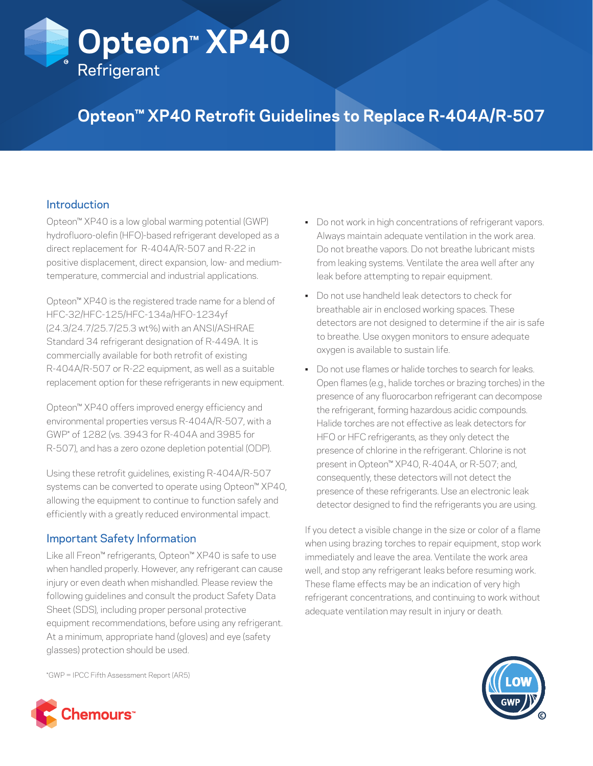# **Opteon™ XP40 Refrigerant**

## **Opteon™ XP40 Retrofit Guidelines to Replace R-404A/R-507**

#### **Introduction**

Opteon™ XP40 is a low global warming potential (GWP) hydrofluoro-olefin (HFO)-based refrigerant developed as a direct replacement for R-404A/R-507 and R-22 in positive displacement, direct expansion, low- and mediumtemperature, commercial and industrial applications.

Opteon™ XP40 is the registered trade name for a blend of HFC-32/HFC-125/HFC-134a/HFO-1234yf (24.3/24.7/25.7/25.3 wt%) with an ANSI/ASHRAE Standard 34 refrigerant designation of R-449A. It is commercially available for both retrofit of existing R-404A/R-507 or R-22 equipment, as well as a suitable replacement option for these refrigerants in new equipment.

Opteon™ XP40 offers improved energy efficiency and environmental properties versus R-404A/R-507, with a GWP\* of 1282 (vs. 3943 for R-404A and 3985 for R-507), and has a zero ozone depletion potential (ODP).

Using these retrofit guidelines, existing R-404A/R-507 systems can be converted to operate using Opteon™ XP40, allowing the equipment to continue to function safely and efficiently with a greatly reduced environmental impact.

#### Important Safety Information

Like all Freon™ refrigerants, Opteon™ XP40 is safe to use when handled properly. However, any refrigerant can cause injury or even death when mishandled. Please review the following guidelines and consult the product Safety Data Sheet (SDS), including proper personal protective equipment recommendations, before using any refrigerant. At a minimum, appropriate hand (gloves) and eye (safety glasses) protection should be used.

- Do not work in high concentrations of refrigerant vapors. Always maintain adequate ventilation in the work area. Do not breathe vapors. Do not breathe lubricant mists from leaking systems. Ventilate the area well after any leak before attempting to repair equipment.
- Do not use handheld leak detectors to check for breathable air in enclosed working spaces. These detectors are not designed to determine if the air is safe to breathe. Use oxygen monitors to ensure adequate oxygen is available to sustain life.
- Do not use flames or halide torches to search for leaks. Open flames (e.g., halide torches or brazing torches) in the presence of any fluorocarbon refrigerant can decompose the refrigerant, forming hazardous acidic compounds. Halide torches are not effective as leak detectors for HFO or HFC refrigerants, as they only detect the presence of chlorine in the refrigerant. Chlorine is not present in Opteon™ XP40, R-404A, or R-507; and, consequently, these detectors will not detect the presence of these refrigerants. Use an electronic leak detector designed to find the refrigerants you are using.

If you detect a visible change in the size or color of a flame when using brazing torches to repair equipment, stop work immediately and leave the area. Ventilate the work area well, and stop any refrigerant leaks before resuming work. These flame effects may be an indication of very high refrigerant concentrations, and continuing to work without adequate ventilation may result in injury or death.



\*GWP = IPCC Fifth Assessment Report (AR5)

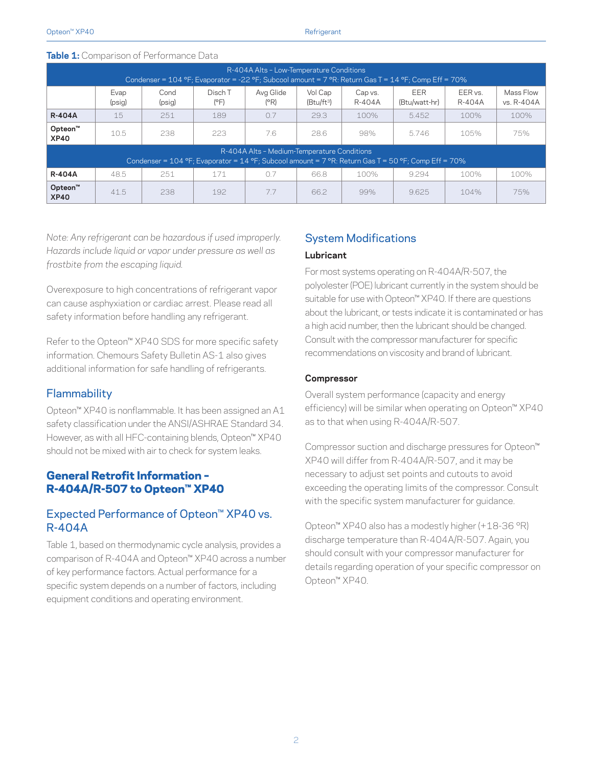| R-404A Alts - Low-Temperature Conditions<br>Condenser = 104 °F; Evaporator = -22 °F; Subcool amount = 7 °R: Return Gas T = 14 °F; Comp Eff = 70%   |                |                |                 |                   |                         |                   |                             |                   |                         |  |  |
|----------------------------------------------------------------------------------------------------------------------------------------------------|----------------|----------------|-----------------|-------------------|-------------------------|-------------------|-----------------------------|-------------------|-------------------------|--|--|
|                                                                                                                                                    | Evap<br>(psig) | Cond<br>(psig) | Disch T<br>(PF) | Avg Glide<br>(PR) | Vol Cap<br>$(Btu/ft^3)$ | Cap vs.<br>R-404A | <b>EER</b><br>(Btu/watt-hr) | EER vs.<br>R-404A | Mass Flow<br>vs. R-404A |  |  |
| <b>R-404A</b>                                                                                                                                      | 15             | 251            | 189             | 0.7               | 29.3                    | 100%              | 5.452                       | 100%              | 100%                    |  |  |
| Opteon <sup>™</sup><br><b>XP40</b>                                                                                                                 | 10.5           | 238            | 223             | 7.6               | 28.6                    | 98%               | 5.746                       | 105%              | 75%                     |  |  |
| R-404A Alts - Medium-Temperature Conditions<br>Condenser = 104 °F; Evaporator = 14 °F; Subcool amount = 7 °R: Return Gas T = 50 °F; Comp Eff = 70% |                |                |                 |                   |                         |                   |                             |                   |                         |  |  |
| <b>R-404A</b>                                                                                                                                      | 48.5           | 251            | 171             | 0.7               | 66.8                    | 100%              | 9.294                       | 100%              | 100%                    |  |  |
| Opteon <sup>™</sup><br><b>XP40</b>                                                                                                                 | 41.5           | 238            | 192             | 7.7               | 66.2                    | 99%               | 9.625                       | 104%              | 75%                     |  |  |

#### **Table 1:** Comparison of Performance Data

*Note: Any refrigerant can be hazardous if used improperly. Hazards include liquid or vapor under pressure as well as frostbite from the escaping liquid.*

Overexposure to high concentrations of refrigerant vapor can cause asphyxiation or cardiac arrest. Please read all safety information before handling any refrigerant.

Refer to the Opteon™ XP40 SDS for more specific safety information. Chemours Safety Bulletin AS-1 also gives additional information for safe handling of refrigerants.

#### **Flammability**

Opteon™ XP40 is nonflammable. It has been assigned an A1 safety classification under the ANSI/ASHRAE Standard 34. However, as with all HFC-containing blends, Opteon™ XP40 should not be mixed with air to check for system leaks.

#### General Retrofit Information – R-404A/R-507 to Opteon™ XP40

#### Expected Performance of Opteon™ XP40 vs. R-404A

Table 1, based on thermodynamic cycle analysis, provides a comparison of R-404A and Opteon™ XP40 across a number of key performance factors. Actual performance for a specific system depends on a number of factors, including equipment conditions and operating environment.

#### System Modifications

#### **Lubricant**

For most systems operating on R-404A/R-507, the polyolester (POE) lubricant currently in the system should be suitable for use with Opteon™ XP40. If there are questions about the lubricant, or tests indicate it is contaminated or has a high acid number, then the lubricant should be changed. Consult with the compressor manufacturer for specific recommendations on viscosity and brand of lubricant.

#### **Compressor**

Overall system performance (capacity and energy efficiency) will be similar when operating on Opteon™ XP40 as to that when using R-404A/R-507.

Compressor suction and discharge pressures for Opteon™ XP40 will differ from R-404A/R-507, and it may be necessary to adjust set points and cutouts to avoid exceeding the operating limits of the compressor. Consult with the specific system manufacturer for guidance.

Opteon™ XP40 also has a modestly higher (+18-36 °R) discharge temperature than R-404A/R-507. Again, you should consult with your compressor manufacturer for details regarding operation of your specific compressor on Opteon™ XP40.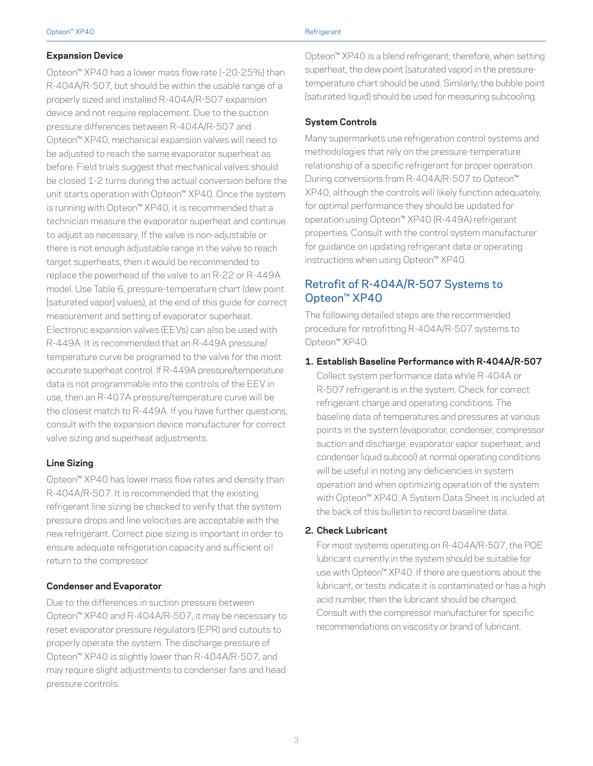#### **Expansion Device**

Opteon™ XP40 has a lower mass flow rate (~20-25%) than R-404A/R-507, but should be within the usable range of a properly sized and installed R-404A/R-507 expansion device and not require replacement. Due to the suction pressure differences between R-404A/R-507 and Opteon™ XP40, mechanical expansion valves will need to be adjusted to reach the same evaporator superheat as before. Field trials suggest that mechanical valves should be closed 1-2 turns during the actual conversion before the unit starts operation with Opteon™ XP40. Once the system is running with Opteon™ XP40, it is recommended that a technician measure the evaporator superheat and continue to adjust as necessary. If the valve is non-adjustable or there is not enough adjustable range in the valve to reach target superheats, then it would be recommended to replace the powerhead of the valve to an R-22 or R-449A model. Use Table 6, pressure-temperature chart (dew point [saturated vapor] values), at the end of this guide for correct measurement and setting of evaporator superheat. Electronic expansion valves (EEVs) can also be used with R-449A. It is recommended that an R-449A pressure/ temperature curve be programed to the valve for the most accurate superheat control. If R-449A pressure/temperature data is not programmable into the controls of the EEV in use, then an R-407A pressure/temperature curve will be the closest match to R-449A. If you have further questions, consult with the expansion device manufacturer for correct valve sizing and superheat adjustments.

#### **Line Sizing**

Opteon™ XP40 has lower mass flow rates and density than R-404A/R-507. It is recommended that the existing refrigerant line sizing be checked to verify that the system pressure drops and line velocities are acceptable with the new refrigerant. Correct pipe sizing is important in order to ensure adequate refrigeration capacity and sufficient oil return to the compressor.

#### **Condenser and Evaporator**

Due to the differences in suction pressure between Opteon™ XP40 and R-404A/R-507, it may be necessary to reset evaporator pressure regulators (EPR) and cutouts to properly operate the system. The discharge pressure of Opteon™ XP40 is slightly lower than R-404A/R-507, and may require slight adjustments to condenser fans and head pressure controls.

Opteon™ XP40 is a blend refrigerant; therefore, when setting superheat, the dew point (saturated vapor) in the pressuretemperature chart should be used. Similarly, the bubble point (saturated liquid) should be used for measuring subcooling.

#### **System Controls**

Many supermarkets use refrigeration control systems and methodologies that rely on the pressure-temperature relationship of a specific refrigerant for proper operation. During conversions from R-404A/R-507 to Opteon™ XP40, although the controls will likely function adequately, for optimal performance they should be updated for operation using Opteon™ XP40 (R-449A) refrigerant properties. Consult with the control system manufacturer for guidance on updating refrigerant data or operating instructions when using Opteon™ XP40.

#### Retrofit of R-404A/R-507 Systems to Opteon™ XP40

The following detailed steps are the recommended procedure for retrofitting R-404A/R-507 systems to Opteon™ XP40:

#### **1. Establish Baseline Performance with R-404A/R-507**

Collect system performance data while R-404A or R-507 refrigerant is in the system. Check for correct refrigerant charge and operating conditions. The baseline data of temperatures and pressures at various points in the system (evaporator, condenser, compressor suction and discharge, evaporator vapor superheat, and condenser liquid subcool) at normal operating conditions will be useful in noting any deficiencies in system operation and when optimizing operation of the system with Opteon™ XP40. A System Data Sheet is included at the back of this bulletin to record baseline data.

#### **2. Check Lubricant**

For most systems operating on R-404A/R-507, the POE lubricant currently in the system should be suitable for use with Opteon™ XP40. If there are questions about the lubricant, or tests indicate it is contaminated or has a high acid number, then the lubricant should be changed. Consult with the compressor manufacturer for specific recommendations on viscosity or brand of lubricant.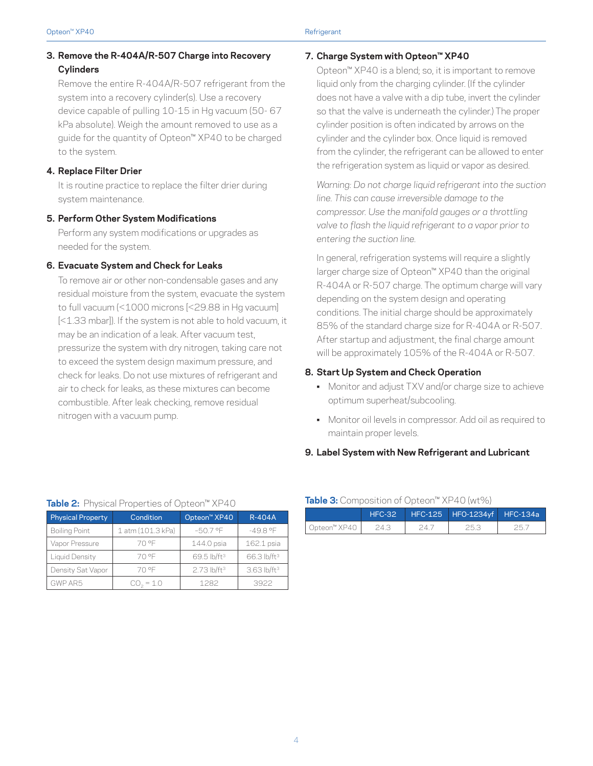#### **3. Remove the R-404A/R-507 Charge into Recovery Cylinders**

Remove the entire R-404A/R-507 refrigerant from the system into a recovery cylinder(s). Use a recovery device capable of pulling 10-15 in Hg vacuum (50- 67 kPa absolute). Weigh the amount removed to use as a guide for the quantity of Opteon™ XP40 to be charged to the system.

#### **4. Replace Filter Drier**

It is routine practice to replace the filter drier during system maintenance.

#### **5. Perform Other System Modifications**

Perform any system modifications or upgrades as needed for the system.

#### **6. Evacuate System and Check for Leaks**

To remove air or other non-condensable gases and any residual moisture from the system, evacuate the system to full vacuum (<1000 microns [<29.88 in Hg vacuum] [<1.33 mbar]). If the system is not able to hold vacuum, it may be an indication of a leak. After vacuum test, pressurize the system with dry nitrogen, taking care not to exceed the system design maximum pressure, and check for leaks. Do not use mixtures of refrigerant and air to check for leaks, as these mixtures can become combustible. After leak checking, remove residual nitrogen with a vacuum pump.

#### **7. Charge System with Opteon™ XP40**

Opteon™ XP40 is a blend; so, it is important to remove liquid only from the charging cylinder. (If the cylinder does not have a valve with a dip tube, invert the cylinder so that the valve is underneath the cylinder.) The proper cylinder position is often indicated by arrows on the cylinder and the cylinder box. Once liquid is removed from the cylinder, the refrigerant can be allowed to enter the refrigeration system as liquid or vapor as desired.

*Warning: Do not charge liquid refrigerant into the suction line. This can cause irreversible damage to the compressor. Use the manifold gauges or a throttling valve to flash the liquid refrigerant to a vapor prior to entering the suction line.*

In general, refrigeration systems will require a slightly larger charge size of Opteon™ XP40 than the original R-404A or R-507 charge. The optimum charge will vary depending on the system design and operating conditions. The initial charge should be approximately 85% of the standard charge size for R-404A or R-507. After startup and adjustment, the final charge amount will be approximately 105% of the R-404A or R-507.

#### **8. Start Up System and Check Operation**

- Monitor and adjust TXV and/or charge size to achieve optimum superheat/subcooling.
- Monitor oil levels in compressor. Add oil as required to maintain proper levels.

#### **9. Label System with New Refrigerant and Lubricant**

| Table 2: Physical Properties of Opteon <sup>™</sup> XP40 |                   |                           |                         |  |  |  |  |  |
|----------------------------------------------------------|-------------------|---------------------------|-------------------------|--|--|--|--|--|
| <b>Physical Property</b>                                 | Condition         | Opteon <sup>™</sup> XP40  | <b>R-404A</b>           |  |  |  |  |  |
| <b>Boiling Point</b>                                     | 1 atm (101.3 kPa) | $-50.7$ °F                | $-49.8$ °F              |  |  |  |  |  |
| Vapor Pressure                                           | 70 °F             | 144.0 psia                | 162.1 psia              |  |  |  |  |  |
| Liquid Density                                           | 70 °F             | 69.5 lb/ft <sup>3</sup>   | 66.3 lb/ft <sup>3</sup> |  |  |  |  |  |
| Density Sat Vapor                                        | 70 °F             | $2.73$ lb/ft <sup>3</sup> | 3.63 lb/ft <sup>3</sup> |  |  |  |  |  |
| GWP AR5                                                  | $CO2 = 1.0$       | 1282                      | 3922                    |  |  |  |  |  |

#### **Table 3:** Composition of Opteon™ XP40 (wt%)

| .              |          |                                 |        |
|----------------|----------|---------------------------------|--------|
|                | $HEC-32$ | HFC-125   HFO-1234yf   HFC-134a |        |
| ∪ Opteon™ XP40 |          | リロー                             | ) F. T |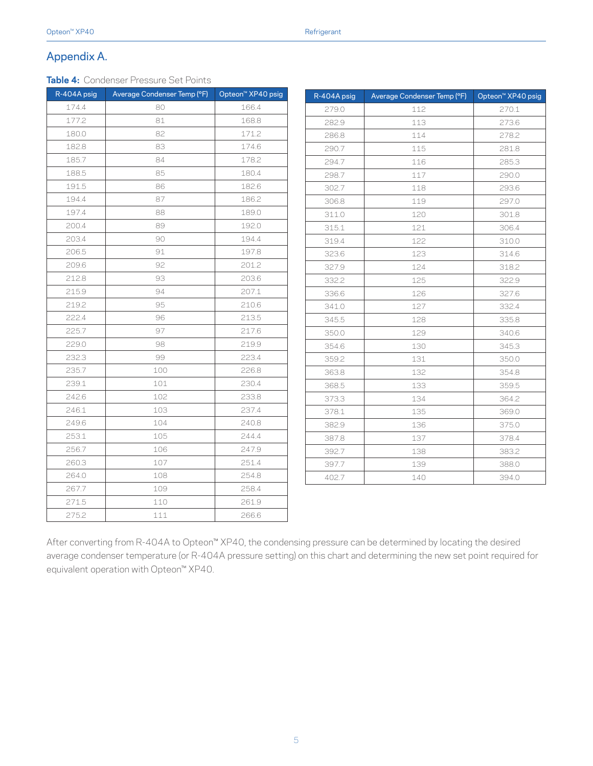#### Appendix A.

**Table 4:** Condenser Pressure Set Points

| R-404A psig | Average Condenser Temp (°F) | Opteon <sup>™</sup> XP40 psig | R-404A psig | Average Condenser Temp (°F) | Opteon <sup>™</sup> XP40 psig |
|-------------|-----------------------------|-------------------------------|-------------|-----------------------------|-------------------------------|
| 174.4       | 80                          | 166.4                         | 279.0       | 112                         | 270.1                         |
| 177.2       | 81                          | 168.8                         | 282.9       | 113                         | 273.6                         |
| 180.0       | 82                          | 171.2                         | 286.8       | 114                         | 278.2                         |
| 182.8       | 83                          | 174.6                         | 290.7       | 115                         | 281.8                         |
| 185.7       | 84                          | 178.2                         | 294.7       | 116                         | 285.3                         |
| 188.5       | 85                          | 180.4                         | 298.7       | 117                         | 290.0                         |
| 191.5       | 86                          | 182.6                         | 302.7       | 118                         | 293.6                         |
| 194.4       | 87                          | 186.2                         | 306.8       | 119                         | 297.0                         |
| 197.4       | 88                          | 189.0                         | 311.0       | 120                         | 301.8                         |
| 200.4       | 89                          | 192.0                         | 315.1       | 121                         | 306.4                         |
| 203.4       | 90                          | 194.4                         | 319.4       | 122                         | 310.0                         |
| 206.5       | 91                          | 197.8                         | 323.6       | 123                         | 314.6                         |
| 209.6       | 92                          | 201.2                         | 327.9       | 124                         | 318.2                         |
| 212.8       | 93                          | 203.6                         | 332.2       | 125                         | 322.9                         |
| 215.9       | 94                          | 207.1                         | 336.6       | 126                         | 327.6                         |
| 219.2       | 95                          | 210.6                         | 341.0       | 127                         | 332.4                         |
| 222.4       | 96                          | 213.5                         | 345.5       | 128                         | 335.8                         |
| 225.7       | 97                          | 217.6                         | 350.0       | 129                         | 340.6                         |
| 229.0       | 98                          | 219.9                         | 354.6       | 130                         | 345.3                         |
| 232.3       | 99                          | 223.4                         | 359.2       | 131                         | 350.0                         |
| 235.7       | 100                         | 226.8                         | 363.8       | 132                         | 354.8                         |
| 239.1       | 101                         | 230.4                         | 368.5       | 133                         | 359.5                         |
| 242.6       | 102                         | 233.8                         | 373.3       | 134                         | 364.2                         |
| 246.1       | 103                         | 237.4                         | 378.1       | 135                         | 369.0                         |
| 249.6       | 104                         | 240.8                         | 382.9       | 136                         | 375.0                         |
| 253.1       | 105                         | 244.4                         | 387.8       | 137                         | 378.4                         |
| 256.7       | 106                         | 247.9                         | 392.7       | 138                         | 383.2                         |
| 260.3       | 107                         | 251.4                         | 397.7       | 139                         | 388.0                         |
| 264.0       | 108                         | 254.8                         | 402.7       | 140                         | 394.0                         |
| 267.7       | 109                         | 258.4                         |             |                             |                               |
| 271.5       | 110                         | 261.9                         |             |                             |                               |
| 275.2       | 111                         | 266.6                         |             |                             |                               |

After converting from R-404A to Opteon™ XP40, the condensing pressure can be determined by locating the desired average condenser temperature (or R-404A pressure setting) on this chart and determining the new set point required for equivalent operation with Opteon™ XP40.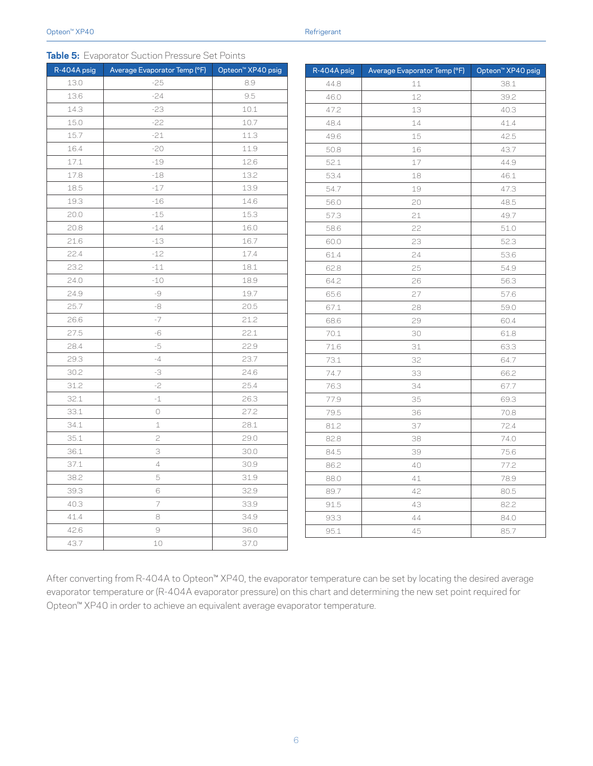| ≺efriαerant |  |  |
|-------------|--|--|
|             |  |  |

|  | Table 5: Evaporator Suction Pressure Set Points |  |  |  |
|--|-------------------------------------------------|--|--|--|
|--|-------------------------------------------------|--|--|--|

| R-404A psig | Average Evaporator Temp (°F) | Opteon <sup>™</sup> XP40 psig |
|-------------|------------------------------|-------------------------------|
| 13.0        | $-25$                        | 8.9                           |
| 13.6        | $-24$                        | 9.5                           |
| 14.3        | $-23$                        | $10.1\,$                      |
| 15.0        | $-22$                        | 10.7                          |
| 15.7        | $-21$                        | 11.3                          |
| 16.4        | $-20$                        | 11.9                          |
| 17.1        | $-19$                        | 12.6                          |
| 17.8        | $-18$                        | 13.2                          |
| 18.5        | $-17$                        | 13.9                          |
| 19.3        | $-16$                        | 14.6                          |
| 20.0        | $-15$                        | 15.3                          |
| 20.8        | $-14$                        | 16.0                          |
| 21.6        | -13                          | 16.7                          |
| 22.4        | $-12$                        | 17.4                          |
| 23.2        | $-11$                        | 18.1                          |
| 24.0        | $-10$                        | 18.9                          |
| 24.9        | -9                           | 19.7                          |
| 25.7        | -8                           | 20.5                          |
| 26.6        | $-7$                         | 21.2                          |
| 27.5        | -6                           | 22.1                          |
| 28.4        | -5                           | 22.9                          |
| 29.3        | $-4$                         | 23.7                          |
| 30.2        | -3                           | 24.6                          |
| 31.2        | $-2$                         | 25.4                          |
| 32.1        | $-1$                         | 26.3                          |
| 33.1        | 0                            | 27.2                          |
| 34.1        | 1                            | 28.1                          |
| 35.1        | 2                            | 29.0                          |
| 36.1        | 3                            | 30.0                          |
| 37.1        | 4                            | 30.9                          |
| 38.2        | 5                            | 31.9                          |
| 39.3        | 6                            | 32.9                          |
| 40.3        | 7                            | 33.9                          |
| 41.4        | 8                            | 34.9                          |
| 42.6        | 9                            | 36.0                          |
| 43.7        | 10                           | 37.0                          |
|             |                              |                               |

| R-404A psig | Average Evaporator Temp (°F) | Opteon <sup>™</sup> XP40 psig |
|-------------|------------------------------|-------------------------------|
| 44.8        | 11                           | 38.1                          |
| 46.0        | 12                           | 39.2                          |
| 47.2        | 13                           | 40.3                          |
| 48.4        | 14                           | 41.4                          |
| 49.6        | 15                           | 42.5                          |
| 50.8        | 16                           | 43.7                          |
| 52.1        | 17                           | 44.9                          |
| 53.4        | 18                           | 46.1                          |
| 54.7        | 19                           | 47.3                          |
| 56.0        | 20                           | 48.5                          |
| 57.3        | 21                           | 49.7                          |
| 58.6        | 22                           | 51.0                          |
| 60.0        | 23                           | 52.3                          |
| 61.4        | 24                           | 53.6                          |
| 62.8        | 25                           | 54.9                          |
| 64.2        | 26                           | 56.3                          |
| 65.6        | 27                           | 57.6                          |
| 67.1        | 28                           | 59.0                          |
| 68.6        | 29                           | 60.4                          |
| 70.1        | 30                           | 61.8                          |
| 71.6        | 31                           | 63.3                          |
| 73.1        | 32                           | 64.7                          |
| 74.7        | 33                           | 66.2                          |
| 76.3        | 34                           | 67.7                          |
| 77.9        | 35                           | 69.3                          |
| 79.5        | 36                           | 70.8                          |
| 81.2        | 37                           | 72.4                          |
| 82.8        | 38                           | 74.0                          |
| 84.5        | 39                           | 75.6                          |
| 86.2        | 40                           | 77.2                          |
| 88.0        | 41                           | 78.9                          |
| 89.7        | 42                           | 80.5                          |
| 91.5        | 43                           | 82.2                          |
| 93.3        | 44                           | 84.0                          |
| 95.1        | 45                           | 85.7                          |

After converting from R-404A to Opteon™ XP40, the evaporator temperature can be set by locating the desired average evaporator temperature or (R-404A evaporator pressure) on this chart and determining the new set point required for Opteon™ XP40 in order to achieve an equivalent average evaporator temperature.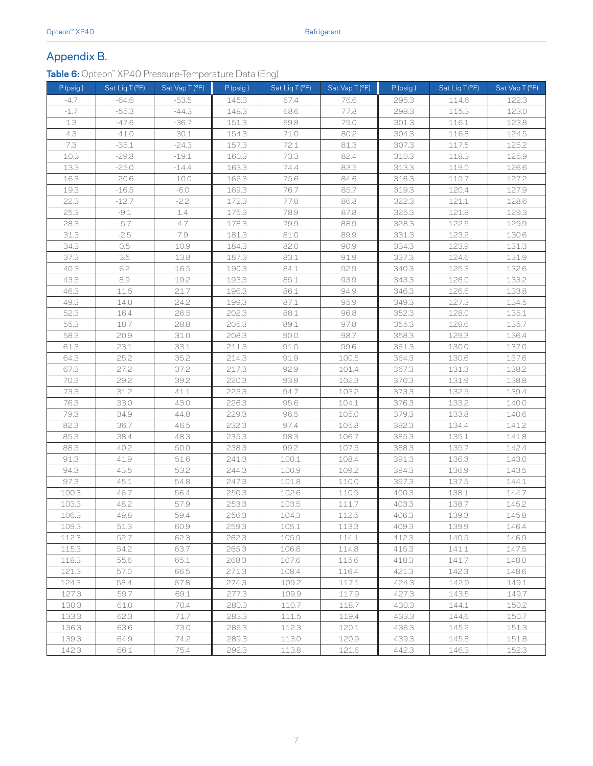#### Appendix B.

**Table 6:** Opteon™ XP40 Pressure-Temperature Data (Eng)

| P (psig) | Sat Liq T (°F) | Sat Vap T (°F) | P (psig) | Sat Liq T (°F) | Sat Vap T (°F) | $P$ (psig) | Sat Liq T (°F) | Sat Vap T (°F) |
|----------|----------------|----------------|----------|----------------|----------------|------------|----------------|----------------|
| $-4.7$   | $-64.6$        | $-53.5$        | 145.3    | 67.4           | 76.6           | 295.3      | 114.6          | 122.3          |
| $-1.7$   | $-55.3$        | $-44.3$        | 148.3    | 68.6           | 77.8           | 298.3      | 115.3          | 123.0          |
| 1.3      | $-47.6$        | $-36.7$        | 151.3    | 69.8           | 79.0           | 301.3      | 116.1          | 123.8          |
| 4.3      | $-41.0$        | $-30.1$        | 154.3    | 71.0           | 80.2           | 304.3      | 116.8          | 124.5          |
| 7.3      | $-35.1$        | $-24.3$        | 157.3    | 72.1           | 81.3           | 307.3      | 117.5          | 125.2          |
| 10.3     | $-29.8$        | $-19.1$        | 160.3    | 73.3           | 82.4           | 310.3      | 118.3          | 125.9          |
| 13.3     | $-25.0$        | $-14.4$        | 163.3    | 74.4           | 83.5           | 313.3      | 119.0          | 126.6          |
| 16.3     | $-20.6$        | $-10.0$        | 166.3    | 75.6           | 84.6           | 316.3      | 119.7          | 127.2          |
| 19.3     | $-16.5$        | $-6.0$         | 169.3    | 76.7           | 85.7           | 319.3      | 120.4          | 127.9          |
| 22.3     | $-12.7$        | $-2.2$         | 172.3    | 77.8           | 86.8           | 322.3      | 121.1          | 128.6          |
| 25.3     | $-9.1$         | 1.4            | 175.3    | 78.9           | 87.8           | 325.3      | 121.8          | 129.3          |
| 28.3     | $-5.7$         | 4.7            | 178.3    | 79.9           | 88.9           | 328.3      | 122.5          | 129.9          |
| 31.3     | $-2.5$         | 7.9            | 181.3    | 81.0           | 89.9           | 331.3      | 123.2          | 130.6          |
| 34.3     | 0.5            | 10.9           | 184.3    | 82.0           | 90.9           | 334.3      | 123.9          | 131.3          |
| 37.3     | 3.5            | 13.8           | 187.3    | 83.1           | 91.9           | 337.3      | 124.6          | 131.9          |
| 40.3     | 6.2            | 16.5           | 190.3    | 84.1           | 92.9           | 340.3      | 125.3          | 132.6          |
| 43.3     | 8.9            | 19.2           | 193.3    | 85.1           | 93.9           | 343.3      | 126.0          | 133.2          |
| 46.3     | 11.5           | 21.7           | 196.3    | 86.1           | 94.9           | 346.3      | 126.6          | 133.8          |
| 49.3     | 14.0           | 24.2           | 199.3    | 87.1           | 95.9           | 349.3      | 127.3          | 134.5          |
| 52.3     | 16.4           | 26.5           | 202.3    | 88.1           | 96.8           | 352.3      | 128.0          | 135.1          |
| 55.3     | 18.7           | 28.8           | 205.3    | 89.1           | 97.8           | 355.3      | 128.6          | 135.7          |
| 58.3     | 20.9           | 31.0           | 208.3    | 90.0           | 98.7           | 358.3      | 129.3          | 136.4          |
| 61.3     | 23.1           | 33.1           | 211.3    | 91.0           | 99.6           | 361.3      | 130.0          | 137.0          |
| 64.3     | 25.2           | 35.2           | 214.3    | 91.9           | 100.5          | 364.3      | 130.6          | 137.6          |
| 67.3     | 27.2           | 37.2           | 217.3    | 92.9           | 101.4          | 367.3      | 131.3          | 138.2          |
| 70.3     | 29.2           | 39.2           | 220.3    | 93.8           | 102.3          | 370.3      | 131.9          | 138.8          |
| 73.3     | 31.2           | 41.1           | 223.3    | 94.7           | 103.2          | 373.3      | 132.5          | 139.4          |
| 76.3     | 33.0           | 43.0           | 226.3    | 95.6           | 104.1          | 376.3      | 133.2          | 140.0          |
| 79.3     | 34.9           | 44.8           | 229.3    | 96.5           | 105.0          | 379.3      | 133.8          | 140.6          |
| 82.3     | 36.7           | 46.5           | 232.3    | 97.4           | 105.8          | 382.3      | 134.4          | 141.2          |
| 85.3     | 38.4           | 48.3           | 235.3    | 98.3           | 106.7          | 385.3      | 135.1          | 141.8          |
| 88.3     | 40.2           | 50.0           | 238.3    | 99.2           | 107.5          | 388.3      | 135.7          | 142.4          |
| 91.3     | 41.9           | 51.6           | 241.3    | 100.1          | 108.4          | 391.3      | 136.3          | 143.0          |
| 94.3     | 43.5           | 53.2           | 244.3    | 100.9          | 109.2          | 394.3      | 136.9          | 143.5          |
| 97.3     | 45.1           | 54.8           | 247.3    | 101.8          | 110.0          | 397.3      | 137.5          | 144.1          |
| 100.3    | 46.7           | 56.4           | 250.3    | 102.6          | 110.9          | 400.3      | 138.1          | 144.7          |
| 103.3    | 48.2           | 57.9           | 253.3    | 103.5          | 111.7          | 403.3      | 138.7          | 145.2          |
| 106.3    | 49.8           | 59.4           | 256.3    | 104.3          | 112.5          | 406.3      | 139.3          | 145.8          |
| 109.3    | 51.3           | 60.9           | 259.3    | 105.1          | 113.3          | 409.3      | 139.9          | 146.4          |
| 112.3    | 52.7           | 62.3           | 262.3    | 105.9          | 114.1          | 412.3      | 140.5          | 146.9          |
| 115.3    | 54.2           | 63.7           | 265.3    | 106.8          | 114.8          | 415.3      | 141.1          | 147.5          |
| 118.3    | 55.6           | 65.1           | 268.3    | 107.6          | 115.6          | 418.3      | 141.7          | 148.0          |
| 121.3    | 57.0           | 66.5           | 271.3    | 108.4          | 116.4          | 421.3      | 142.3          | 148.6          |
| 124.3    | 58.4           | 67.8           | 274.3    | 109.2          | 117.1          | 424.3      | 142.9          | 149.1          |
| 127.3    | 59.7           | 69.1           | 277.3    | 109.9          | 117.9          | 427.3      | 143.5          | 149.7          |
| 130.3    | 61.0           | 70.4           | 280.3    | 110.7          | 118.7          | 430.3      | 144.1          | 150.2          |
| 133.3    | 62.3           | 71.7           | 283.3    | 111.5          | 119.4          | 433.3      | 144.6          | 150.7          |
| 136.3    | 63.6           | 73.0           | 286.3    | 112.3          | 120.1          | 436.3      | 145.2          | 151.3          |
| 139.3    | 64.9           | 74.2           | 289.3    | 113.0          | 120.9          | 439.3      | 145.8          | 151.8          |
| 142.3    | 66.1           | 75.4           | 292.3    | 113.8          | 121.6          | 442.3      | 146.3          | 152.3          |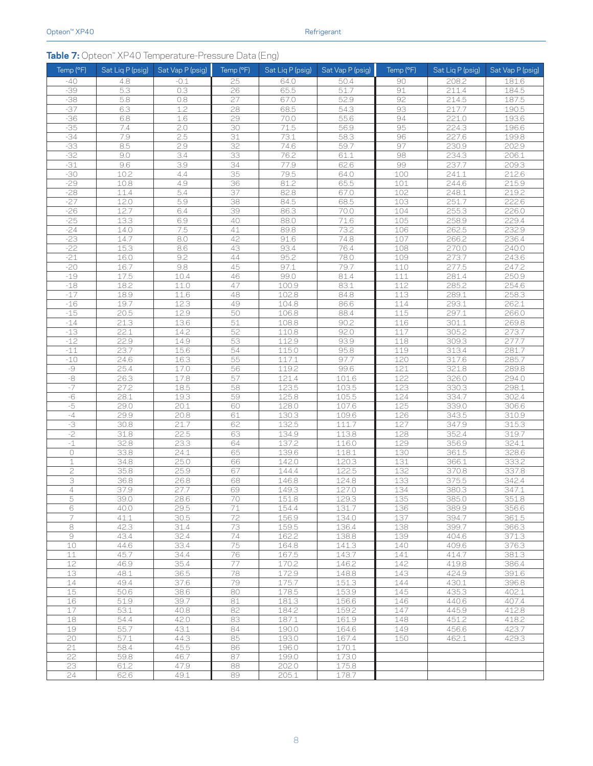#### **Table 7:** Opteon™ XP40 Temperature-Pressure Data (Eng)

| Temp (°F)              | Sat Liq P (psig) | Sat Vap P (psig) | Temp (°F)             | Sat Liq P (psig) | Sat Vap P (psig) | Temp (°F)  | Sat Liq P (psig) | Sat Vap P (psig) |
|------------------------|------------------|------------------|-----------------------|------------------|------------------|------------|------------------|------------------|
| $-40$                  | 4.8              | $-0.1$           | 25                    | 64.0             | 50.4             | 90         | 208.2            | 181.6            |
| $-39$                  | 5.3              | 0.3              | $\overline{26}$       | 65.5             | 51.7             | 91         | 211.4            | 184.5            |
| $-38$                  | 5.8              | 0.8              | 27                    | 67.0             | 52.9             | 92         | 214.5            | 187.5            |
| $-37$                  | 6.3              | 1.2              | $\overline{28}$       | 68.5             | 54.3             | 93         | 217.7            | 190.5            |
| $-36$                  | 6.8              | 1.6              | 29                    | 70.0             | 55.6             | 94         | 221.0            | 193.6            |
| $-35$                  | 7.4              | 2.0              | 30                    | 71.5             | 56.9             | 95         | 224.3            | 196.6            |
| $-34$                  | 7.9              | 2.5              | $\overline{31}$       | 73.1             | 58.3             | 96         | 227.6            | 199.8            |
| $-33$                  | 8.5              | 2.9              | $\overline{32}$       | 74.6             | 59.7             | 97         | 230.9            | 202.9            |
| $-32$                  | 9.0              | 3.4              | $\overline{33}$       | 76.2             | 61.1             | 98         | 234.3            | 206.1            |
| $-31$                  | 9.6              | 3.9              | 34                    | 77.9             | 62.6             | 99         | 237.7            | 209.3            |
| $-30$                  | 10.2             | 4.4              | 35                    | 79.5             | 64.0             | 100        | 241.1            | 212.6            |
| $-29$<br>$-28$         | 10.8             | 4.9              | 36<br>$\overline{37}$ | 81.2             | 65.5             | 101        | 244.6            | 215.9            |
| $-27$                  | 11.4<br>12.0     | 5.4<br>5.9       | 38                    | 82.8<br>84.5     | 67.0<br>68.5     | 102<br>103 | 248.1<br>251.7   | 219.2<br>222.6   |
| $-26$                  | 12.7             | 6.4              | 39                    | 86.3             | 70.0             | 104        | 255.3            | 226.0            |
| $-25$                  | 13.3             | 6.9              | 40                    | 88.0             | 71.6             | 105        | 258.9            | 229.4            |
| $-24$                  | 14.0             | 7.5              | 41                    | 89.8             | 73.2             | 106        | 262.5            | 232.9            |
| $-23$                  | 14.7             | 8.0              | 42                    | 91.6             | 74.8             | 107        | 266.2            | 236.4            |
| $-22$                  | 15.3             | 8.6              | 43                    | 93.4             | 76.4             | 108        | 270.0            | 240.0            |
| $-21$                  | 16.0             | 9.2              | 44                    | 95.2             | 78.0             | 109        | 273.7            | 243.6            |
| $-20$                  | 16.7             | 9.8              | 45                    | 97.1             | 79.7             | 110        | 277.5            | 247.2            |
| $-19$                  | 17.5             | 10.4             | 46                    | 99.0             | 81.4             | 111        | 281.4            | 250.9            |
| $-18$                  | 18.2             | 11.0             | 47                    | 100.9            | 83.1             | 112        | 285.2            | 254.6            |
| $-17$                  | 18.9             | 11.6             | 48                    | 102.8            | 84.8             | 113        | 289.1            | 258.3            |
| $-16$                  | 19.7             | 12.3             | 49                    | 104.8            | 86.6             | 114        | 293.1            | 262.1            |
| $-15$                  | 20.5             | 12.9             | 50                    | 106.8            | 88.4             | 115        | 297.1            | 266.0            |
| $-14$                  | 21.3             | 13.6             | 51                    | 108.8            | 90.2             | 116        | 301.1            | 269.8            |
| $-13$                  | 22.1             | 14.2             | 52                    | 110.8            | 92.0             | 117        | 305.2            | 273.7            |
| $-12$                  | 22.9             | 14.9             | 53                    | 112.9            | 93.9             | 118        | 309.3            | 277.7            |
| $-11$                  | 23.7             | 15.6             | 54                    | 115.0            | 95.8             | 119        | 313.4            | 281.7            |
| $-10$                  | 24.6             | 16.3             | 55                    | 117.1            | 97.7             | 120        | 317.6            | 285.7            |
| $-9$                   | 25.4             | 17.0             | 56                    | 119.2            | 99.6             | 121        | 321.8            | 289.8            |
| $\overline{\text{-8}}$ | 26.3             | 17.8             | 57                    | 121.4            | 101.6            | 122        | 326.0            | 294.0            |
| $-7$                   | 27.2             | 18.5             | 58                    | 123.5            | 103.5            | 123        | 330.3            | 298.1            |
| $-6$                   | 28.1             | 19.3             | 59                    | 125.8            | 105.5            | 124        | 334.7            | 302.4            |
| $-5$<br>$-4$           | 29.0<br>29.9     | 20.1             | 60<br>61              | 128.0            | 107.6            | 125<br>126 | 339.0<br>343.5   | 306.6            |
| $-3$                   | 30.8             | 20.8<br>21.7     | 62                    | 130.3<br>132.5   | 109.6<br>111.7   | 127        | 347.9            | 310.9<br>315.3   |
| $-2$                   | 31.8             | 22.5             | 63                    | 134.9            | 113.8            | 128        | 352.4            | 319.7            |
| $-1$                   | 32.8             | 23.3             | 64                    | 137.2            | 116.0            | 129        | 356.9            | 324.1            |
| $\bigcirc$             | 33.8             | 24.1             | 65                    | 139.6            | 118.1            | 130        | 361.5            | 328.6            |
| $\mathbf 1$            | 34.8             | 25.0             | 66                    | 142.0            | 120.3            | 131        | 366.1            | 333.2            |
| 2                      | 35.8             | 25.9             | 67                    | 144.4            | 122.5            | 132        | 370.8            | 337.8            |
| 3                      | 36.8             | 26.8             | 68                    | 146.8            | 124.8            | 133        | 375.5            | 342.4            |
| $\overline{4}$         | 37.9             | 27.7             | 69                    | 149.3            | 127.0            | 134        | 380.3            | 347.1            |
| 5                      | 39.0             | 28.6             | 70                    | 151.8            | 129.3            | 135        | 385.0            | 351.8            |
| 6                      | 40.0             | 29.5             | 71                    | 154.4            | 131.7            | 136        | 389.9            | 356.6            |
| 7                      | 41.1             | 30.5             | 72                    | 156.9            | 134.0            | 137        | 394.7            | 361.5            |
| 8                      | 42.3             | 31.4             | 73                    | 159.5            | 136.4            | 138        | 399.7            | 366.3            |
| $\Theta$               | 43.4             | 32.4             | 74                    | 162.2            | 138.8            | 139        | 404.6            | 371.3            |
| 10                     | 44.6             | 33.4             | 75                    | 164.8            | 141.3            | 140        | 409.6            | 376.3            |
| 11                     | 45.7             | 34.4             | 76                    | 167.5            | 143.7            | 141        | 414.7            | 381.3            |
| 12                     | 46.9             | 35.4             | 77                    | 170.2            | 146.2            | 142        | 419.8            | 386.4            |
| 13                     | 48.1             | 36.5             | 78                    | 172.9            | 148.8            | 143        | 424.9            | 391.6            |
| 14                     | 49.4             | 37.6             | 79                    | 175.7            | 151.3            | 144        | 430.1            | 396.8            |
| 15                     | 50.6             | 38.6             | 80                    | 178.5            | 153.9            | 145        | 435.3            | 402.1            |
| 16                     | 51.9             | 39.7             | 81                    | 181.3            | 156.6            | 146        | 440.6            | 407.4            |
| 17                     | 53.1             | 40.8             | 82                    | 184.2            | 159.2            | 147        | 445.9            | 412.8            |
| 18<br>19               | 54.4<br>55.7     | 42.0<br>43.1     | 83<br>84              | 187.1<br>190.0   | 161.9<br>164.6   | 148<br>149 | 451.2<br>456.6   | 418.2<br>423.7   |
| 20                     | 57.1             | 44.3             | 85                    | 193.0            | 167.4            | 150        | 462.1            | 429.3            |
| 21                     | 58.4             | 45.5             | 86                    | 196.0            | 170.1            |            |                  |                  |
| 22                     | 59.8             | 46.7             | 87                    | 199.0            | 173.0            |            |                  |                  |
| 23                     | 61.2             | 47.9             | 88                    | 202.0            | 175.8            |            |                  |                  |
| $\overline{24}$        | 62.6             | 49.1             | 89                    | 205.1            | 178.7            |            |                  |                  |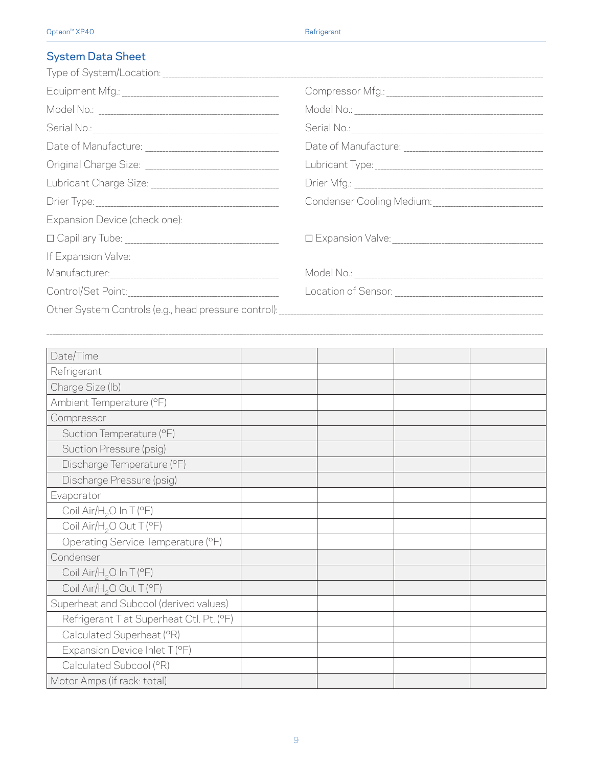### System Data Sheet

|                               | Condenser Cooling Medium: __________________________________ |
|-------------------------------|--------------------------------------------------------------|
| Expansion Device (check one): |                                                              |
|                               |                                                              |
| If Expansion Valve:           |                                                              |
|                               |                                                              |
|                               |                                                              |
|                               |                                                              |

 $\mathcal{L}_\text{max} = \mathcal{L}_\text{max} = \mathcal{L}_\text{max} = \mathcal{L}_\text{max} = \mathcal{L}_\text{max} = \mathcal{L}_\text{max} = \mathcal{L}_\text{max} = \mathcal{L}_\text{max} = \mathcal{L}_\text{max} = \mathcal{L}_\text{max} = \mathcal{L}_\text{max} = \mathcal{L}_\text{max} = \mathcal{L}_\text{max} = \mathcal{L}_\text{max} = \mathcal{L}_\text{max} = \mathcal{L}_\text{max} = \mathcal{L}_\text{max} = \mathcal{L}_\text{max} = \mathcal{$ 

| Date/Time                                |  |  |
|------------------------------------------|--|--|
| Refrigerant                              |  |  |
| Charge Size (lb)                         |  |  |
| Ambient Temperature (°F)                 |  |  |
| Compressor                               |  |  |
| Suction Temperature (°F)                 |  |  |
| Suction Pressure (psig)                  |  |  |
| Discharge Temperature (°F)               |  |  |
| Discharge Pressure (psig)                |  |  |
| Evaporator                               |  |  |
| Coil Air/H <sub>2</sub> O In T (°F)      |  |  |
| Coil Air/H <sub>2</sub> O Out T (°F)     |  |  |
| Operating Service Temperature (°F)       |  |  |
| Condenser                                |  |  |
| Coil Air/H <sub>2</sub> O In T (°F)      |  |  |
| Coil Air/H <sub>2</sub> O Out T (°F)     |  |  |
| Superheat and Subcool (derived values)   |  |  |
| Refrigerant T at Superheat Ctl. Pt. (°F) |  |  |
| Calculated Superheat (°R)                |  |  |
| Expansion Device Inlet T (°F)            |  |  |
| Calculated Subcool (°R)                  |  |  |
| Motor Amps (if rack: total)              |  |  |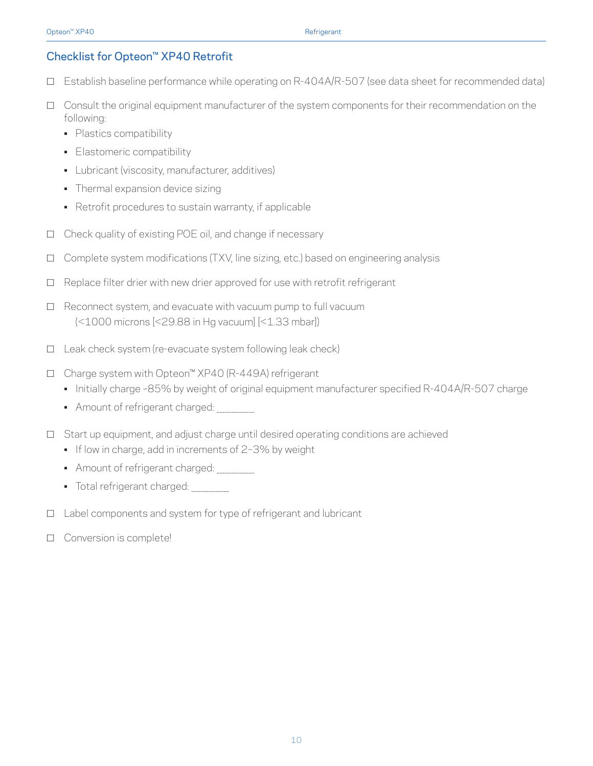#### Checklist for Opteon™ XP40 Retrofit

- □ Establish baseline performance while operating on R-404A/R-507 (see data sheet for recommended data)
- $\Box$  Consult the original equipment manufacturer of the system components for their recommendation on the following:
	- Plastics compatibility
	- Elastomeric compatibility
	- Lubricant (viscosity, manufacturer, additives)
	- Thermal expansion device sizing
	- Retrofit procedures to sustain warranty, if applicable
- $\Box$  Check quality of existing POE oil, and change if necessary
- $\Box$  Complete system modifications (TXV, line sizing, etc.) based on engineering analysis
- $\Box$  Replace filter drier with new drier approved for use with retrofit refrigerant
- $\Box$  Reconnect system, and evacuate with vacuum pump to full vacuum (<1000 microns [<29.88 in Hg vacuum] [<1.33 mbar])
- $\Box$  Leak check system (re-evacuate system following leak check)
- h Charge system with Opteon™ XP40 (R-449A) refrigerant
	- Initially charge ~85% by weight of original equipment manufacturer specified R-404A/R-507 charge
	- Amount of refrigerant charged:
- $\Box$  Start up equipment, and adjust charge until desired operating conditions are achieved
	- If low in charge, add in increments of 2-3% by weight
	- Amount of refrigerant charged:
	- Total refrigerant charged: \_\_\_\_\_\_\_\_\_\_\_\_\_
- $\Box$  Label components and system for type of refrigerant and lubricant
- $\Box$  Conversion is complete!